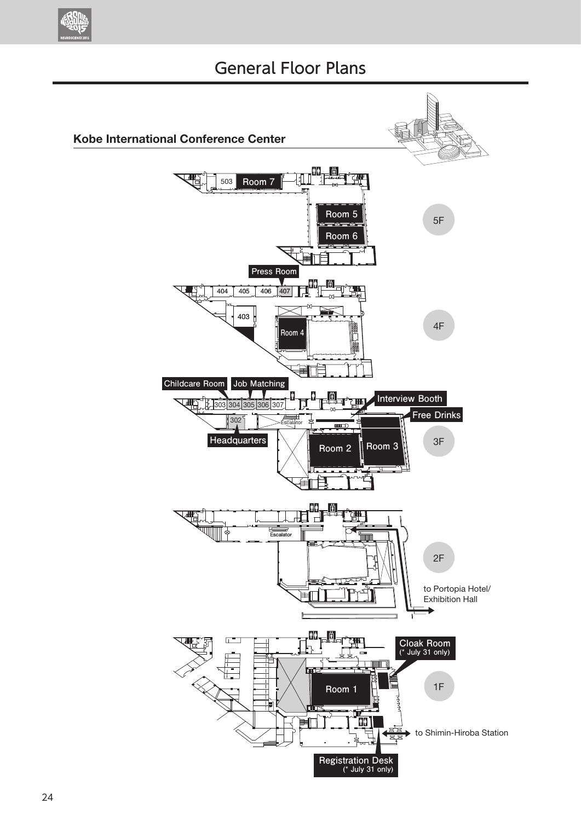

## General Floor Plans

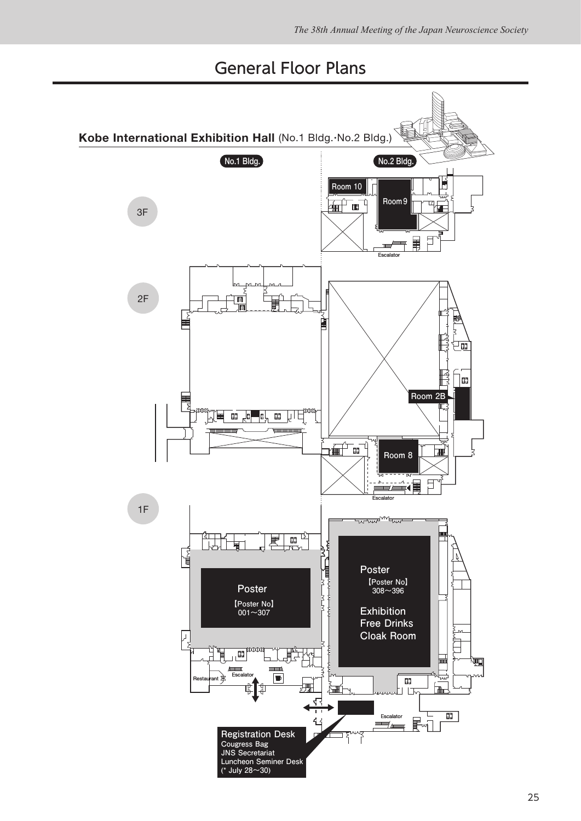## General Floor Plans